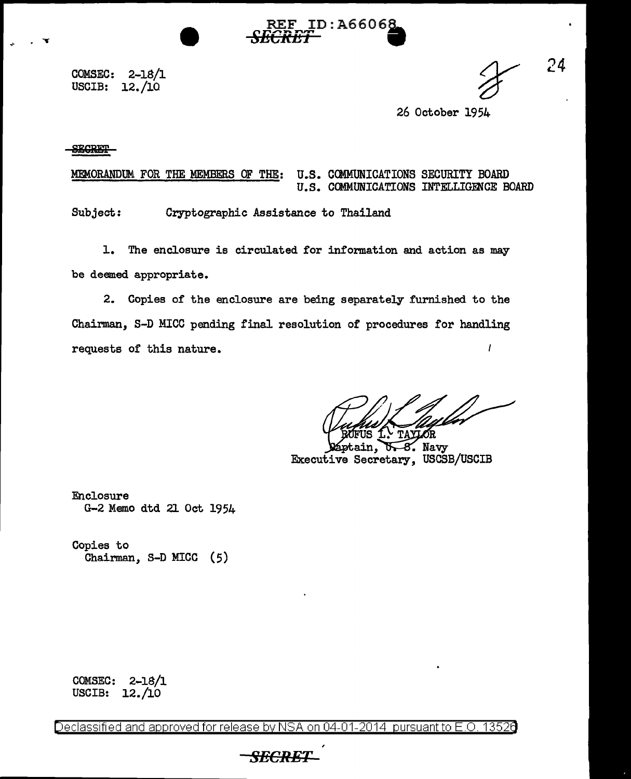COMSEC: 2-18/1 USCIB: 12./10

24

26 October 1954

#### **SECRET**

. **.** 

MEMORANDUM FOR THE MEMBERS OF THE: U.S. COMMUNICATIONS SECURITY BOARD U.S. COMMUNICATIONS INTELLIGENCE BOARD

ID:A66068

*SECRET* •

Subject: Cryptographic Assistance to Thailand

1. The enclosure is circulated for information and action as may be deemed appropriate.

2. Copies of the enclosure are being separately furnished to the Chairman, S-D MICC pending final resolution of procedures for handling requests of this nature.  $\prime$ 

**TAYLOR** 

ptain, 8. Navy ᢐ Executive Secretary, USCSB/USCIB

Enclosure G-2 Memo dtd 21 Oct 1954

Copies to Chairman, S-D MICC (5)

COMSEC: 2-18/1 USCIB: 12./10

Declassified and approved for release by NSA on 04-01-2014 pursuantto E.O. 1352a

# *SECRE*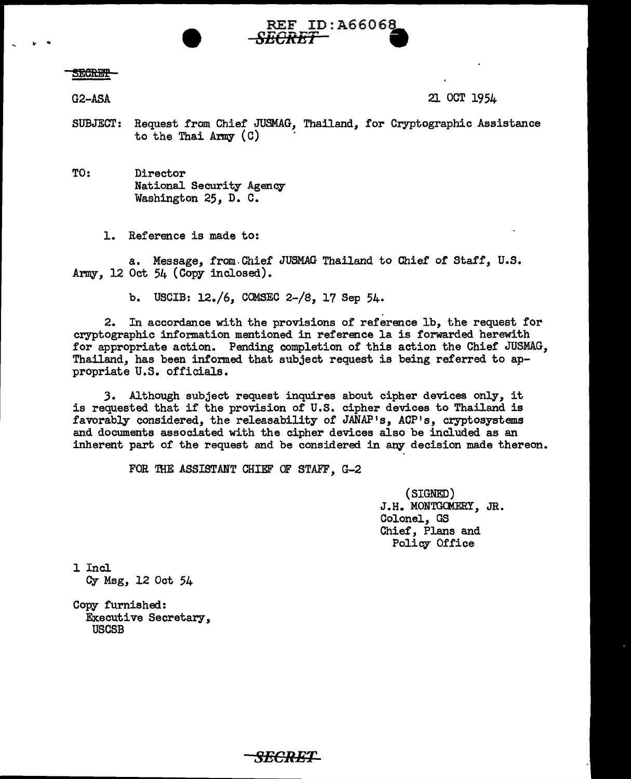#### **SECRET**

G2-ASA 21 OCT 1954

SUBJECT: Request from Chief JUSMAG, Thailand, for Cryptographic Assistance to the Thai Army  $(C)$ 

*SECRET* ●

TO: Director National Security Agency Washington 25, D. C.

.... REF ID:A6606~

1. Reference is made to:

a. Message, from.Chief JUSMAG Thailand to Chief of Staff, U.S. Army,  $12 \text{ Oct } 54$  (Copy inclosed).

b. USCIB:  $12./6$ , COMSEC  $2-/8$ , 17 Sep  $54$ .

2. In accordance with the provisions of reference lb, the request for cryptographic information mentioned in reference la is forwarded herewith for appropriate action. Pending completion of this action the Chief JUSMAG, Thailand, has been informed that subject request is being referred to appropriate U.S. officials.

*3.* Although subject request inquires about cipher devices only, it is requested that if the provision of U.S. cipher devices to Thailand is favorably considered, the releasability of JANAP's, ACP's, cryptosystems and documents associated with the cipher devices also be included as an inherent part of the request and be considered in any decision made thereon.

*SECRET* 

FOR THE ASSISTANT CHIEF OF STAFF, G-2

(SIGNED) J.H. MONTGOMERY, JR. Colonel, GS Chief, Plans and Policy Office

l Incl Cy Msg, 12 Oot 54

Copy furnished: Executive Secretary, USCSB